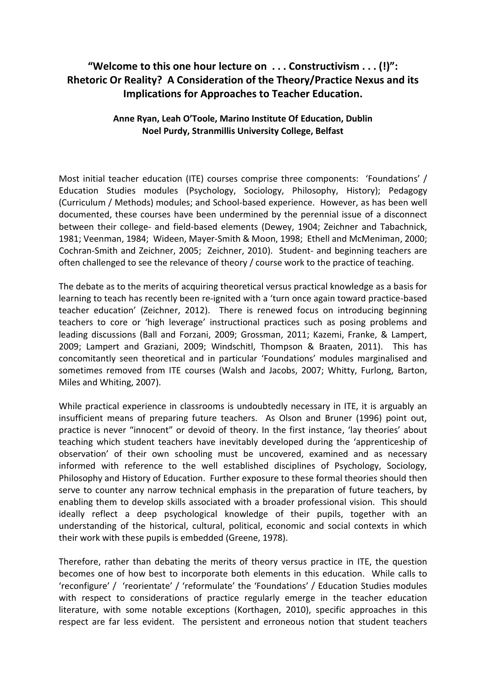# **"Welcome to this one hour lecture on . . . Constructivism . . . (!)": Rhetoric Or Reality? A Consideration of the Theory/Practice Nexus and its Implications for Approaches to Teacher Education.**

## **Anne Ryan, Leah O'Toole, Marino Institute Of Education, Dublin Noel Purdy, Stranmillis University College, Belfast**

Most initial teacher education (ITE) courses comprise three components: 'Foundations' / Education Studies modules (Psychology, Sociology, Philosophy, History); Pedagogy (Curriculum / Methods) modules; and School-based experience. However, as has been well documented, these courses have been undermined by the perennial issue of a disconnect between their college- and field-based elements (Dewey, 1904; Zeichner and Tabachnick, 1981; Veenman, 1984; Wideen, Mayer-Smith & Moon, 1998; Ethell and McMeniman, 2000; Cochran-Smith and Zeichner, 2005; Zeichner, 2010). Student- and beginning teachers are often challenged to see the relevance of theory / course work to the practice of teaching.

The debate as to the merits of acquiring theoretical versus practical knowledge as a basis for learning to teach has recently been re-ignited with a 'turn once again toward practice-based teacher education' (Zeichner, 2012). There is renewed focus on introducing beginning teachers to core or 'high leverage' instructional practices such as posing problems and leading discussions (Ball and Forzani, 2009; Grossman, 2011; Kazemi, Franke, & Lampert, 2009; Lampert and Graziani, 2009; Windschitl, Thompson & Braaten, 2011). This has concomitantly seen theoretical and in particular 'Foundations' modules marginalised and sometimes removed from ITE courses (Walsh and Jacobs, 2007; Whitty, Furlong, Barton, Miles and Whiting, 2007).

While practical experience in classrooms is undoubtedly necessary in ITE, it is arguably an insufficient means of preparing future teachers. As Olson and Bruner (1996) point out, practice is never "innocent" or devoid of theory. In the first instance, 'lay theories' about teaching which student teachers have inevitably developed during the 'apprenticeship of observation' of their own schooling must be uncovered, examined and as necessary informed with reference to the well established disciplines of Psychology, Sociology, Philosophy and History of Education. Further exposure to these formal theories should then serve to counter any narrow technical emphasis in the preparation of future teachers, by enabling them to develop skills associated with a broader professional vision. This should ideally reflect a deep psychological knowledge of their pupils, together with an understanding of the historical, cultural, political, economic and social contexts in which their work with these pupils is embedded (Greene, 1978).

Therefore, rather than debating the merits of theory versus practice in ITE, the question becomes one of how best to incorporate both elements in this education. While calls to 'reconfigure' / 'reorientate' / 'reformulate' the 'Foundations' / Education Studies modules with respect to considerations of practice regularly emerge in the teacher education literature, with some notable exceptions (Korthagen, 2010), specific approaches in this respect are far less evident. The persistent and erroneous notion that student teachers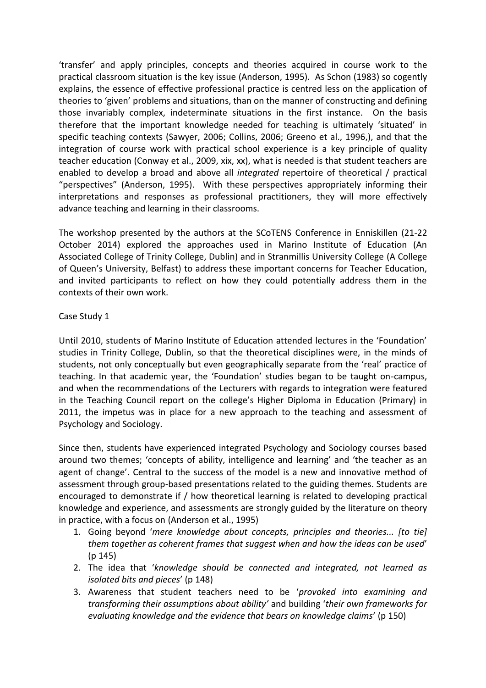'transfer' and apply principles, concepts and theories acquired in course work to the practical classroom situation is the key issue (Anderson, 1995). As Schon (1983) so cogently explains, the essence of effective professional practice is centred less on the application of theories to 'given' problems and situations, than on the manner of constructing and defining those invariably complex, indeterminate situations in the first instance. On the basis therefore that the important knowledge needed for teaching is ultimately 'situated' in specific teaching contexts (Sawyer, 2006; Collins, 2006; Greeno et al., 1996,), and that the integration of course work with practical school experience is a key principle of quality teacher education (Conway et al., 2009, xix, xx), what is needed is that student teachers are enabled to develop a broad and above all *integrated* repertoire of theoretical / practical "perspectives" (Anderson, 1995). With these perspectives appropriately informing their interpretations and responses as professional practitioners, they will more effectively advance teaching and learning in their classrooms.

The workshop presented by the authors at the SCoTENS Conference in Enniskillen (21-22 October 2014) explored the approaches used in Marino Institute of Education (An Associated College of Trinity College, Dublin) and in Stranmillis University College (A College of Queen's University, Belfast) to address these important concerns for Teacher Education, and invited participants to reflect on how they could potentially address them in the contexts of their own work.

## Case Study 1

Until 2010, students of Marino Institute of Education attended lectures in the 'Foundation' studies in Trinity College, Dublin, so that the theoretical disciplines were, in the minds of students, not only conceptually but even geographically separate from the 'real' practice of teaching. In that academic year, the 'Foundation' studies began to be taught on-campus, and when the recommendations of the Lecturers with regards to integration were featured in the Teaching Council report on the college's Higher Diploma in Education (Primary) in 2011, the impetus was in place for a new approach to the teaching and assessment of Psychology and Sociology.

Since then, students have experienced integrated Psychology and Sociology courses based around two themes; 'concepts of ability, intelligence and learning' and 'the teacher as an agent of change'. Central to the success of the model is a new and innovative method of assessment through group-based presentations related to the guiding themes. Students are encouraged to demonstrate if / how theoretical learning is related to developing practical knowledge and experience, and assessments are strongly guided by the literature on theory in practice, with a focus on (Anderson et al., 1995)

- 1. Going beyond '*mere knowledge about concepts, principles and theories... [to tie] them together as coherent frames that suggest when and how the ideas can be used*' (p 145)
- 2. The idea that '*knowledge should be connected and integrated, not learned as isolated bits and pieces*' (p 148)
- 3. Awareness that student teachers need to be '*provoked into examining and transforming their assumptions about ability'* and building '*their own frameworks for evaluating knowledge and the evidence that bears on knowledge claims*' (p 150)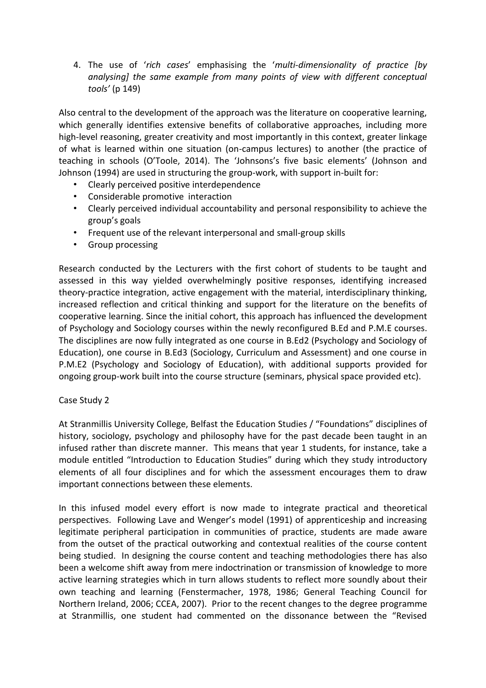4. The use of '*rich cases*' emphasising the '*multi-dimensionality of practice [by analysing] the same example from many points of view with different conceptual tools'* (p 149)

Also central to the development of the approach was the literature on cooperative learning, which generally identifies extensive benefits of collaborative approaches, including more high-level reasoning, greater creativity and most importantly in this context, greater linkage of what is learned within one situation (on-campus lectures) to another (the practice of teaching in schools (O'Toole, 2014). The 'Johnsons's five basic elements' (Johnson and Johnson (1994) are used in structuring the group-work, with support in-built for:

- Clearly perceived positive interdependence
- Considerable promotive interaction
- Clearly perceived individual accountability and personal responsibility to achieve the group's goals
- Frequent use of the relevant interpersonal and small-group skills
- Group processing

Research conducted by the Lecturers with the first cohort of students to be taught and assessed in this way yielded overwhelmingly positive responses, identifying increased theory-practice integration, active engagement with the material, interdisciplinary thinking, increased reflection and critical thinking and support for the literature on the benefits of cooperative learning. Since the initial cohort, this approach has influenced the development of Psychology and Sociology courses within the newly reconfigured B.Ed and P.M.E courses. The disciplines are now fully integrated as one course in B.Ed2 (Psychology and Sociology of Education), one course in B.Ed3 (Sociology, Curriculum and Assessment) and one course in P.M.E2 (Psychology and Sociology of Education), with additional supports provided for ongoing group-work built into the course structure (seminars, physical space provided etc).

#### Case Study 2

At Stranmillis University College, Belfast the Education Studies / "Foundations" disciplines of history, sociology, psychology and philosophy have for the past decade been taught in an infused rather than discrete manner. This means that year 1 students, for instance, take a module entitled "Introduction to Education Studies" during which they study introductory elements of all four disciplines and for which the assessment encourages them to draw important connections between these elements.

In this infused model every effort is now made to integrate practical and theoretical perspectives. Following Lave and Wenger's model (1991) of apprenticeship and increasing legitimate peripheral participation in communities of practice, students are made aware from the outset of the practical outworking and contextual realities of the course content being studied. In designing the course content and teaching methodologies there has also been a welcome shift away from mere indoctrination or transmission of knowledge to more active learning strategies which in turn allows students to reflect more soundly about their own teaching and learning (Fenstermacher, 1978, 1986; General Teaching Council for Northern Ireland, 2006; CCEA, 2007). Prior to the recent changes to the degree programme at Stranmillis, one student had commented on the dissonance between the "Revised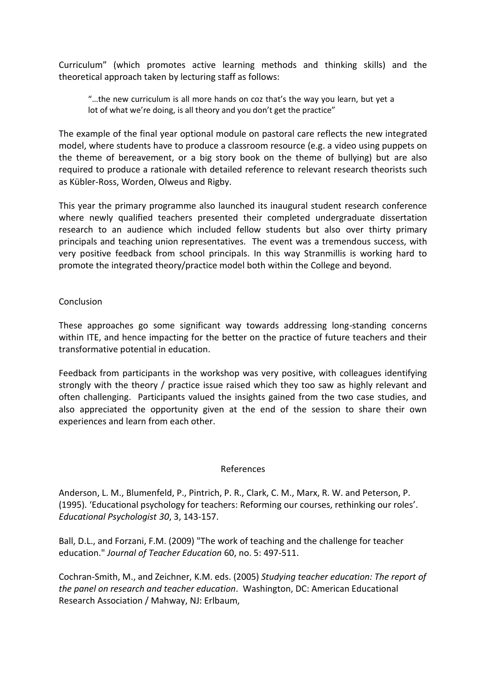Curriculum" (which promotes active learning methods and thinking skills) and the theoretical approach taken by lecturing staff as follows:

"…the new curriculum is all more hands on coz that's the way you learn, but yet a lot of what we're doing, is all theory and you don't get the practice"

The example of the final year optional module on pastoral care reflects the new integrated model, where students have to produce a classroom resource (e.g. a video using puppets on the theme of bereavement, or a big story book on the theme of bullying) but are also required to produce a rationale with detailed reference to relevant research theorists such as Kübler-Ross, Worden, Olweus and Rigby.

This year the primary programme also launched its inaugural student research conference where newly qualified teachers presented their completed undergraduate dissertation research to an audience which included fellow students but also over thirty primary principals and teaching union representatives. The event was a tremendous success, with very positive feedback from school principals. In this way Stranmillis is working hard to promote the integrated theory/practice model both within the College and beyond.

### Conclusion

These approaches go some significant way towards addressing long-standing concerns within ITE, and hence impacting for the better on the practice of future teachers and their transformative potential in education.

Feedback from participants in the workshop was very positive, with colleagues identifying strongly with the theory / practice issue raised which they too saw as highly relevant and often challenging. Participants valued the insights gained from the two case studies, and also appreciated the opportunity given at the end of the session to share their own experiences and learn from each other.

#### References

Anderson, L. M., Blumenfeld, P., Pintrich, P. R., Clark, C. M., Marx, R. W. and Peterson, P. (1995). 'Educational psychology for teachers: Reforming our courses, rethinking our roles'. *Educational Psychologist 30*, 3, 143-157.

Ball, D.L., and Forzani, F.M. (2009) "The work of teaching and the challenge for teacher education." *Journal of Teacher Education* 60, no. 5: 497-511.

Cochran-Smith, M., and Zeichner, K.M. eds. (2005) *Studying teacher education: The report of the panel on research and teacher education*. Washington, DC: American Educational Research Association / Mahway, NJ: Erlbaum,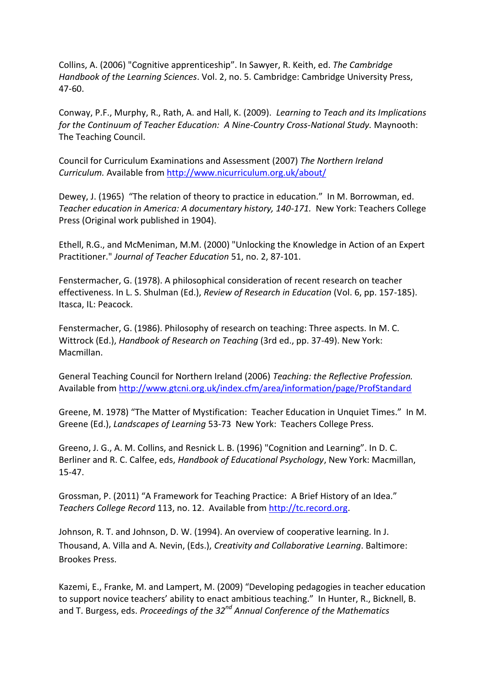Collins, A. (2006) "Cognitive apprenticeship". In Sawyer, R. Keith, ed. *The Cambridge Handbook of the Learning Sciences*. Vol. 2, no. 5. Cambridge: Cambridge University Press, 47-60.

Conway, P.F., Murphy, R., Rath, A. and Hall, K. (2009). *Learning to Teach and its Implications for the Continuum of Teacher Education: A Nine-Country Cross-National Study.* Maynooth: The Teaching Council.

Council for Curriculum Examinations and Assessment (2007) *The Northern Ireland Curriculum.* Available from<http://www.nicurriculum.org.uk/about/>

Dewey, J. (1965) "The relation of theory to practice in education." In M. Borrowman, ed. *Teacher education in America: A documentary history, 140-171.* New York: Teachers College Press (Original work published in 1904).

Ethell, R.G., and McMeniman, M.M. (2000) "Unlocking the Knowledge in Action of an Expert Practitioner." *Journal of Teacher Education* 51, no. 2, 87-101.

Fenstermacher, G. (1978). A philosophical consideration of recent research on teacher effectiveness. In L. S. Shulman (Ed.), *Review of Research in Education* (Vol. 6, pp. 157-185). Itasca, IL: Peacock.

Fenstermacher, G. (1986). Philosophy of research on teaching: Three aspects. In M. C. Wittrock (Ed.), *Handbook of Research on Teaching* (3rd ed., pp. 37-49). New York: Macmillan.

General Teaching Council for Northern Ireland (2006) *Teaching: the Reflective Profession.* Available fro[m http://www.gtcni.org.uk/index.cfm/area/information/page/ProfStandard](http://www.gtcni.org.uk/index.cfm/area/information/page/ProfStandard)

Greene, M. 1978) "The Matter of Mystification: Teacher Education in Unquiet Times." In M. Greene (Ed.), *Landscapes of Learning* 53-73 New York: Teachers College Press.

Greeno, J. G., A. M. Collins, and Resnick L. B. (1996) "Cognition and Learning". In D. C. Berliner and R. C. Calfee, eds, *Handbook of Educational Psychology*, New York: Macmillan, 15-47.

Grossman, P. (2011) "A Framework for Teaching Practice: A Brief History of an Idea." *Teachers College Record* 113, no. 12. Available from [http://tc.record.org.](http://tc.record.org/)

Johnson, R. T. and Johnson, D. W. (1994). An overview of cooperative learning. In J. Thousand, A. Villa and A. Nevin, (Eds.), *Creativity and Collaborative Learning*. Baltimore: Brookes Press.

Kazemi, E., Franke, M. and Lampert, M. (2009) "Developing pedagogies in teacher education to support novice teachers' ability to enact ambitious teaching." In Hunter, R., Bicknell, B. and T. Burgess, eds. *Proceedings of the 32nd Annual Conference of the Mathematics*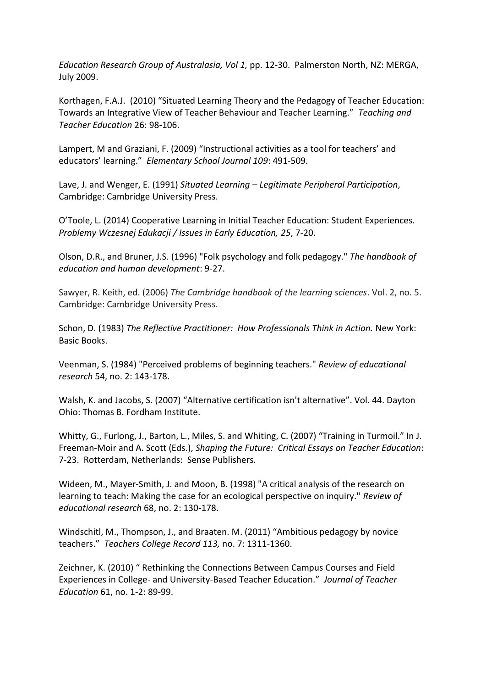*Education Research Group of Australasia, Vol 1,* pp. 12-30. Palmerston North, NZ: MERGA, July 2009.

Korthagen, F.A.J. (2010) "Situated Learning Theory and the Pedagogy of Teacher Education: Towards an Integrative View of Teacher Behaviour and Teacher Learning." *Teaching and Teacher Education* 26: 98-106.

Lampert, M and Graziani, F. (2009) "Instructional activities as a tool for teachers' and educators' learning." *Elementary School Journal 109*: 491-509.

Lave, J. and Wenger, E. (1991) *Situated Learning – Legitimate Peripheral Participation*, Cambridge: Cambridge University Press.

O'Toole, L. (2014) Cooperative Learning in Initial Teacher Education: Student Experiences. *Problemy Wczesnej Edukacji / Issues in Early Education, 25*, 7-20.

Olson, D.R., and Bruner, J.S. (1996) "Folk psychology and folk pedagogy." *The handbook of education and human development*: 9-27.

Sawyer, R. Keith, ed. (2006) *The Cambridge handbook of the learning sciences*. Vol. 2, no. 5. Cambridge: Cambridge University Press.

Schon, D. (1983) *The Reflective Practitioner: How Professionals Think in Action.* New York: Basic Books.

Veenman, S. (1984) "Perceived problems of beginning teachers." *Review of educational research* 54, no. 2: 143-178.

Walsh, K. and Jacobs, S. (2007) "Alternative certification isn't alternative". Vol. 44. Dayton Ohio: Thomas B. Fordham Institute.

Whitty, G., Furlong, J., Barton, L., Miles, S. and Whiting, C. (2007) "Training in Turmoil." In J. Freeman-Moir and A. Scott (Eds.), *Shaping the Future: Critical Essays on Teacher Education*: 7-23. Rotterdam, Netherlands: Sense Publishers.

Wideen, M., Mayer-Smith, J. and Moon, B. (1998) "A critical analysis of the research on learning to teach: Making the case for an ecological perspective on inquiry." *Review of educational research* 68, no. 2: 130-178.

Windschitl, M., Thompson, J., and Braaten. M. (2011) "Ambitious pedagogy by novice teachers." *Teachers College Record 113,* no. 7: 1311-1360.

Zeichner, K. (2010) " Rethinking the Connections Between Campus Courses and Field Experiences in College- and University-Based Teacher Education." *Journal of Teacher Education* 61, no. 1-2: 89-99.